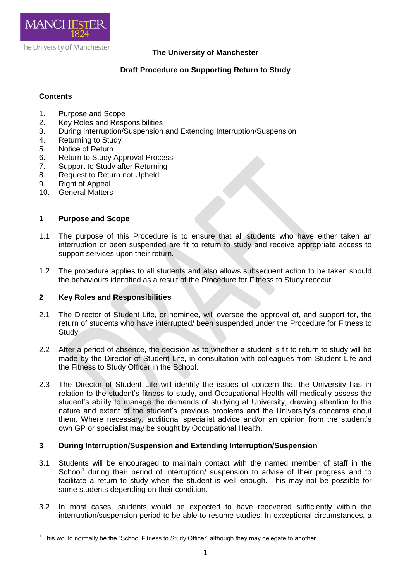

## **The University of Manchester**

# **Draft Procedure on Supporting Return to Study**

## **Contents**

- 1. Purpose and Scope
- 2. Key Roles and Responsibilities
- 3. During Interruption/Suspension and Extending Interruption/Suspension
- 4. Returning to Study
- 5. Notice of Return
- 6. Return to Study Approval Process
- 7. Support to Study after Returning
- 8. Request to Return not Upheld
- 9. Right of Appeal
- 10. General Matters

### **1 Purpose and Scope**

- 1.1 The purpose of this Procedure is to ensure that all students who have either taken an interruption or been suspended are fit to return to study and receive appropriate access to support services upon their return.
- 1.2 The procedure applies to all students and also allows subsequent action to be taken should the behaviours identified as a result of the Procedure for Fitness to Study reoccur.

### **2 Key Roles and Responsibilities**

- 2.1 The Director of Student Life, or nominee, will oversee the approval of, and support for, the return of students who have interrupted/ been suspended under the Procedure for Fitness to Study.
- 2.2 After a period of absence, the decision as to whether a student is fit to return to study will be made by the Director of Student Life, in consultation with colleagues from Student Life and the Fitness to Study Officer in the School.
- 2.3 The Director of Student Life will identify the issues of concern that the University has in relation to the student's fitness to study, and Occupational Health will medically assess the student's ability to manage the demands of studying at University, drawing attention to the nature and extent of the student's previous problems and the University's concerns about them. Where necessary, additional specialist advice and/or an opinion from the student's own GP or specialist may be sought by Occupational Health.

### **3 During Interruption/Suspension and Extending Interruption/Suspension**

- 3.1 Students will be encouraged to maintain contact with the named member of staff in the School<sup>1</sup> during their period of interruption/ suspension to advise of their progress and to facilitate a return to study when the student is well enough. This may not be possible for some students depending on their condition.
- 3.2 In most cases, students would be expected to have recovered sufficiently within the interruption/suspension period to be able to resume studies. In exceptional circumstances, a

 $\overline{a}$  $1$  This would normally be the "School Fitness to Study Officer" although they may delegate to another.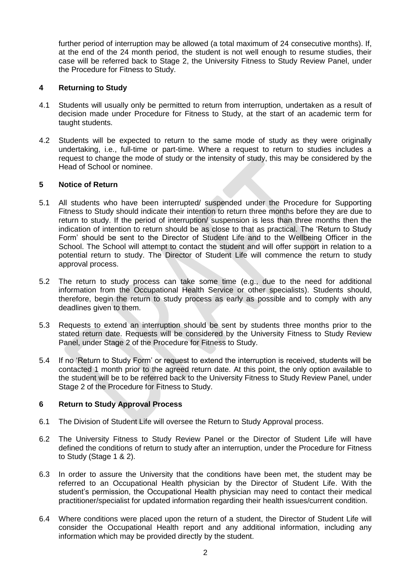further period of interruption may be allowed (a total maximum of 24 consecutive months). If, at the end of the 24 month period, the student is not well enough to resume studies, their case will be referred back to Stage 2, the University Fitness to Study Review Panel, under the Procedure for Fitness to Study.

## **4 Returning to Study**

- 4.1 Students will usually only be permitted to return from interruption, undertaken as a result of decision made under Procedure for Fitness to Study, at the start of an academic term for taught students.
- 4.2 Students will be expected to return to the same mode of study as they were originally undertaking, i.e., full-time or part-time. Where a request to return to studies includes a request to change the mode of study or the intensity of study, this may be considered by the Head of School or nominee.

## **5 Notice of Return**

- 5.1 All students who have been interrupted/ suspended under the Procedure for Supporting Fitness to Study should indicate their intention to return three months before they are due to return to study. If the period of interruption/ suspension is less than three months then the indication of intention to return should be as close to that as practical. The 'Return to Study Form' should be sent to the Director of Student Life and to the Wellbeing Officer in the School. The School will attempt to contact the student and will offer support in relation to a potential return to study. The Director of Student Life will commence the return to study approval process.
- 5.2 The return to study process can take some time (e.g., due to the need for additional information from the Occupational Health Service or other specialists). Students should, therefore, begin the return to study process as early as possible and to comply with any deadlines given to them.
- 5.3 Requests to extend an interruption should be sent by students three months prior to the stated return date. Requests will be considered by the University Fitness to Study Review Panel, under Stage 2 of the Procedure for Fitness to Study.
- 5.4 If no 'Return to Study Form' or request to extend the interruption is received, students will be contacted 1 month prior to the agreed return date. At this point, the only option available to the student will be to be referred back to the University Fitness to Study Review Panel, under Stage 2 of the Procedure for Fitness to Study.

### **6 Return to Study Approval Process**

- 6.1 The Division of Student Life will oversee the Return to Study Approval process.
- 6.2 The University Fitness to Study Review Panel or the Director of Student Life will have defined the conditions of return to study after an interruption, under the Procedure for Fitness to Study (Stage 1 & 2).
- 6.3 In order to assure the University that the conditions have been met, the student may be referred to an Occupational Health physician by the Director of Student Life. With the student's permission, the Occupational Health physician may need to contact their medical practitioner/specialist for updated information regarding their health issues/current condition.
- 6.4 Where conditions were placed upon the return of a student, the Director of Student Life will consider the Occupational Health report and any additional information, including any information which may be provided directly by the student.